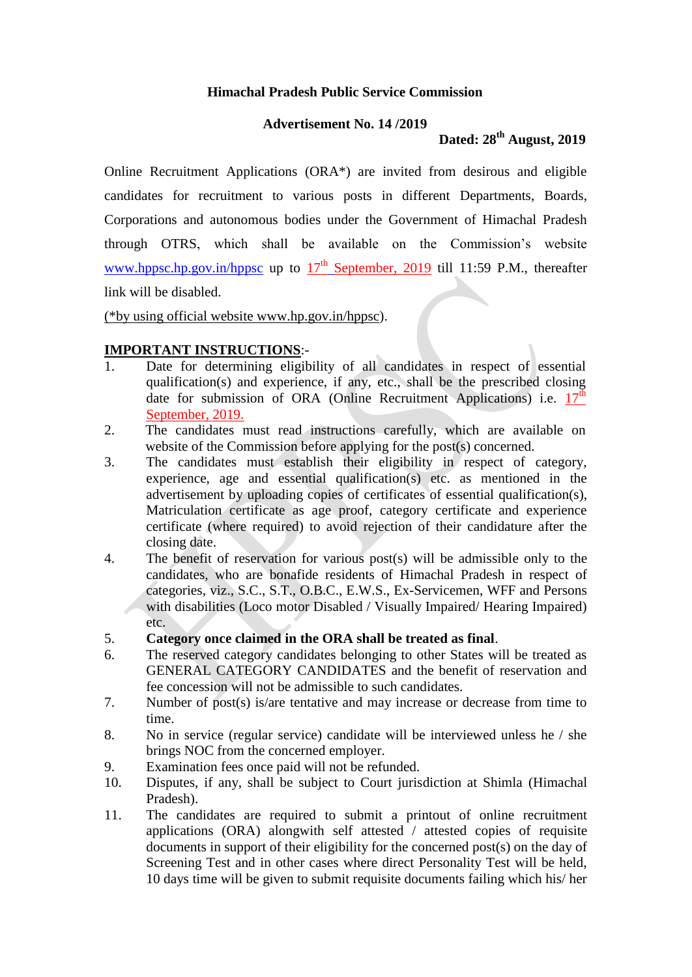## **Himachal Pradesh Public Service Commission**

### **Advertisement No. 14 /2019**

# **Dated: 28th August, 2019**

Online Recruitment Applications (ORA\*) are invited from desirous and eligible candidates for recruitment to various posts in different Departments, Boards, Corporations and autonomous bodies under the Government of Himachal Pradesh through OTRS, which shall be available on the Commission's website [www.hppsc.hp.gov.in/hppsc](http://www.hppsc.hp.gov.in/hppsc) up to  $17<sup>th</sup>$  September, 2019 till 11:59 P.M., thereafter link will be disabled.

(\*by using official website www.hp.gov.in/hppsc).

# **IMPORTANT INSTRUCTIONS**:-

- 1. Date for determining eligibility of all candidates in respect of essential qualification(s) and experience, if any, etc., shall be the prescribed closing date for submission of ORA (Online Recruitment Applications) i.e.  $17^{\text{th}}$ September, 2019.
- 2. The candidates must read instructions carefully, which are available on website of the Commission before applying for the post(s) concerned.
- 3. The candidates must establish their eligibility in respect of category, experience, age and essential qualification(s) etc. as mentioned in the advertisement by uploading copies of certificates of essential qualification(s), Matriculation certificate as age proof, category certificate and experience certificate (where required) to avoid rejection of their candidature after the closing date.
- 4. The benefit of reservation for various post(s) will be admissible only to the candidates, who are bonafide residents of Himachal Pradesh in respect of categories, viz., S.C., S.T., O.B.C., E.W.S., Ex-Servicemen, WFF and Persons with disabilities (Loco motor Disabled / Visually Impaired/ Hearing Impaired) etc.
- 5. **Category once claimed in the ORA shall be treated as final**.
- 6. The reserved category candidates belonging to other States will be treated as GENERAL CATEGORY CANDIDATES and the benefit of reservation and fee concession will not be admissible to such candidates.
- 7. Number of post(s) is/are tentative and may increase or decrease from time to time.
- 8. No in service (regular service) candidate will be interviewed unless he / she brings NOC from the concerned employer.
- 9. Examination fees once paid will not be refunded.
- 10. Disputes, if any, shall be subject to Court jurisdiction at Shimla (Himachal Pradesh).
- 11. The candidates are required to submit a printout of online recruitment applications (ORA) alongwith self attested / attested copies of requisite documents in support of their eligibility for the concerned post(s) on the day of Screening Test and in other cases where direct Personality Test will be held, 10 days time will be given to submit requisite documents failing which his/ her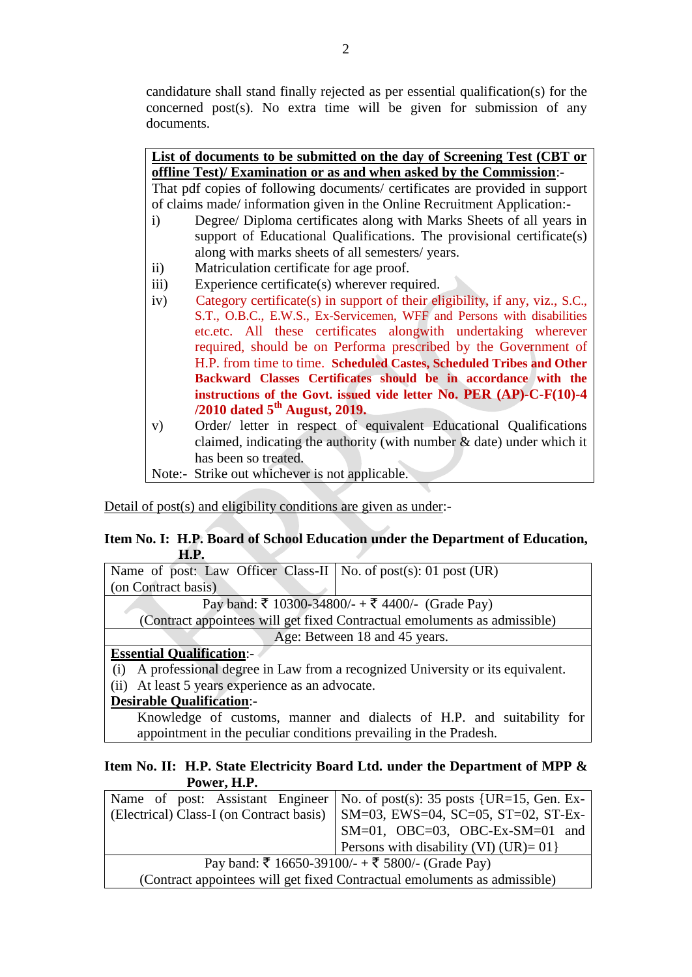candidature shall stand finally rejected as per essential qualification(s) for the concerned post(s). No extra time will be given for submission of any documents.

| List of documents to be submitted on the day of Screening Test (CBT or       |                                                                              |  |  |  |
|------------------------------------------------------------------------------|------------------------------------------------------------------------------|--|--|--|
|                                                                              | offline Test)/ Examination or as and when asked by the Commission:-          |  |  |  |
| That pdf copies of following documents/ certificates are provided in support |                                                                              |  |  |  |
| of claims made/information given in the Online Recruitment Application:-     |                                                                              |  |  |  |
| $\mathbf{i}$                                                                 | Degree/ Diploma certificates along with Marks Sheets of all years in         |  |  |  |
|                                                                              | support of Educational Qualifications. The provisional certificate(s)        |  |  |  |
|                                                                              | along with marks sheets of all semesters/ years.                             |  |  |  |
| $\rm ii)$                                                                    | Matriculation certificate for age proof.                                     |  |  |  |
| $\overline{iii}$                                                             | Experience certificate(s) wherever required.                                 |  |  |  |
| iv)                                                                          | Category certificate(s) in support of their eligibility, if any, viz., S.C., |  |  |  |
|                                                                              | S.T., O.B.C., E.W.S., Ex-Servicemen, WFF and Persons with disabilities       |  |  |  |
|                                                                              | etc.etc. All these certificates alongwith undertaking wherever               |  |  |  |
|                                                                              | required, should be on Performa prescribed by the Government of              |  |  |  |
|                                                                              | H.P. from time to time. Scheduled Castes, Scheduled Tribes and Other         |  |  |  |
|                                                                              | Backward Classes Certificates should be in accordance with the               |  |  |  |
|                                                                              | instructions of the Govt. issued vide letter No. PER (AP)-C-F(10)-4          |  |  |  |
|                                                                              | $/2010$ dated $5th$ August, 2019.                                            |  |  |  |
| V)                                                                           | Order/ letter in respect of equivalent Educational Qualifications            |  |  |  |
|                                                                              | claimed, indicating the authority (with number $\&$ date) under which it     |  |  |  |
|                                                                              | has been so treated.                                                         |  |  |  |
|                                                                              | Note:- Strike out whichever is not applicable.                               |  |  |  |

Detail of post(s) and eligibility conditions are given as under:-

### **Item No. I: H.P. Board of School Education under the Department of Education, H.P.**

| Name of post: Law Officer Class-II   No. of post(s): 01 post (UR)                 |  |  |  |
|-----------------------------------------------------------------------------------|--|--|--|
| (on Contract basis)                                                               |  |  |  |
| Pay band: ₹ 10300-34800/- + ₹ 4400/- (Grade Pay)                                  |  |  |  |
| (Contract appointees will get fixed Contractual emoluments as admissible)         |  |  |  |
| Age: Between 18 and 45 years.                                                     |  |  |  |
| <b>Essential Qualification:-</b>                                                  |  |  |  |
| $(i)$ A professional degree in Law from a recognized University or its equivalent |  |  |  |

(i) A professional degree in Law from a recognized University or its equivalent.

(ii) At least 5 years experience as an advocate.

# **Desirable Qualification**:-

Knowledge of customs, manner and dialects of H.P. and suitability for appointment in the peculiar conditions prevailing in the Pradesh.

### **Item No. II: H.P. State Electricity Board Ltd. under the Department of MPP & Power, H.P.**

|                                                                           | Name of post: Assistant Engineer   No. of post(s): 35 posts {UR=15, Gen. Ex-   |  |  |
|---------------------------------------------------------------------------|--------------------------------------------------------------------------------|--|--|
|                                                                           | (Electrical) Class-I (on Contract basis)   SM=03, EWS=04, SC=05, ST=02, ST-Ex- |  |  |
|                                                                           | $SM=01$ , OBC=03, OBC-Ex-SM=01 and                                             |  |  |
|                                                                           | Persons with disability (VI) (UR) = $01$ }                                     |  |  |
| Pay band: ₹ 16650-39100/- + ₹ 5800/- (Grade Pay)                          |                                                                                |  |  |
| (Contract appointees will get fixed Contractual emoluments as admissible) |                                                                                |  |  |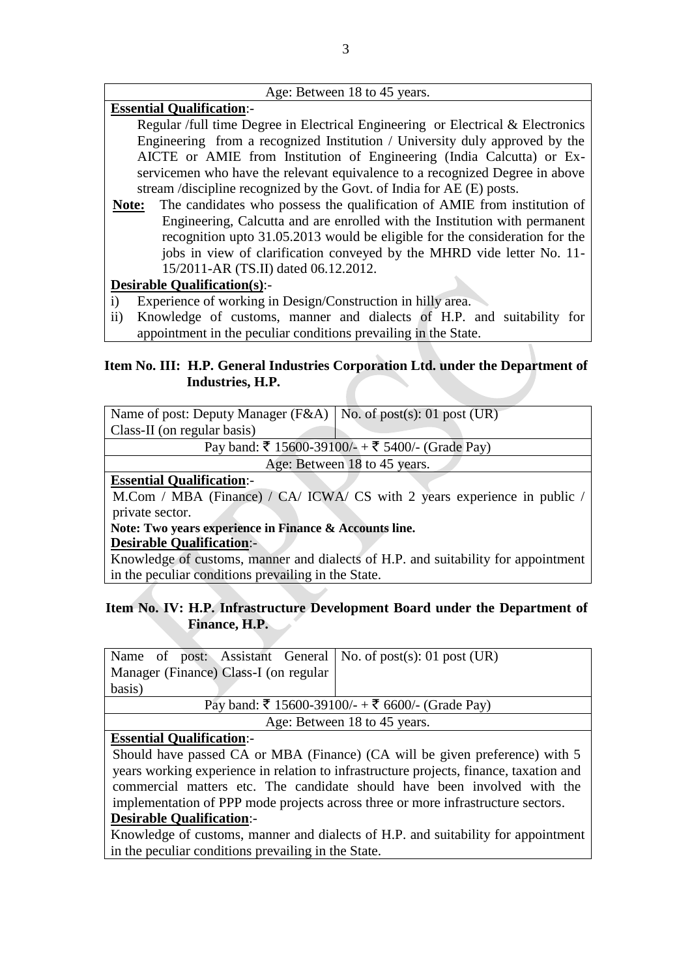#### Age: Between 18 to 45 years.

# **Essential Qualification**:-

Regular /full time Degree in Electrical Engineering or Electrical & Electronics Engineering from a recognized Institution / University duly approved by the AICTE or AMIE from Institution of Engineering (India Calcutta) or Exservicemen who have the relevant equivalence to a recognized Degree in above stream /discipline recognized by the Govt. of India for AE (E) posts.

**Note:** The candidates who possess the qualification of AMIE from institution of Engineering, Calcutta and are enrolled with the Institution with permanent recognition upto 31.05.2013 would be eligible for the consideration for the jobs in view of clarification conveyed by the MHRD vide letter No. 11- 15/2011-AR (TS.II) dated 06.12.2012.

## **Desirable Qualification(s)**:-

- i) Experience of working in Design/Construction in hilly area.
- ii) Knowledge of customs, manner and dialects of H.P. and suitability for appointment in the peculiar conditions prevailing in the State.

### **Item No. III: H.P. General Industries Corporation Ltd. under the Department of Industries, H.P.**

| Name of post: Deputy Manager ( $F&A$ )   No. of post(s): 01 post (UR)    |  |  |  |  |
|--------------------------------------------------------------------------|--|--|--|--|
| Class-II (on regular basis)                                              |  |  |  |  |
| Pay band: ₹ 15600-39100/- + ₹ 5400/- (Grade Pay)                         |  |  |  |  |
| Age: Between 18 to 45 years.                                             |  |  |  |  |
| <b>Essential Qualification:-</b>                                         |  |  |  |  |
| M.Com / MBA (Finance) / CA/ ICWA/ CS with 2 years experience in public / |  |  |  |  |

private sector.

**Note: Two years experience in Finance & Accounts line.** 

### **Desirable Qualification**:-

Knowledge of customs, manner and dialects of H.P. and suitability for appointment in the peculiar conditions prevailing in the State.

# **Item No. IV: H.P. Infrastructure Development Board under the Department of Finance, H.P.**

| Name of post: Assistant General   No. of post(s): 01 post (UR) |  |  |  |  |
|----------------------------------------------------------------|--|--|--|--|
| Manager (Finance) Class-I (on regular                          |  |  |  |  |
| basis)                                                         |  |  |  |  |
| Pay band: ₹ 15600-39100/- + ₹ 6600/- (Grade Pay)               |  |  |  |  |
| Age: Between 18 to 45 years.                                   |  |  |  |  |
| <b>Essential Qualification:-</b>                               |  |  |  |  |

Should have passed CA or MBA (Finance) (CA will be given preference) with 5 years working experience in relation to infrastructure projects, finance, taxation and commercial matters etc. The candidate should have been involved with the implementation of PPP mode projects across three or more infrastructure sectors. **Desirable Qualification**:-

Knowledge of customs, manner and dialects of H.P. and suitability for appointment in the peculiar conditions prevailing in the State.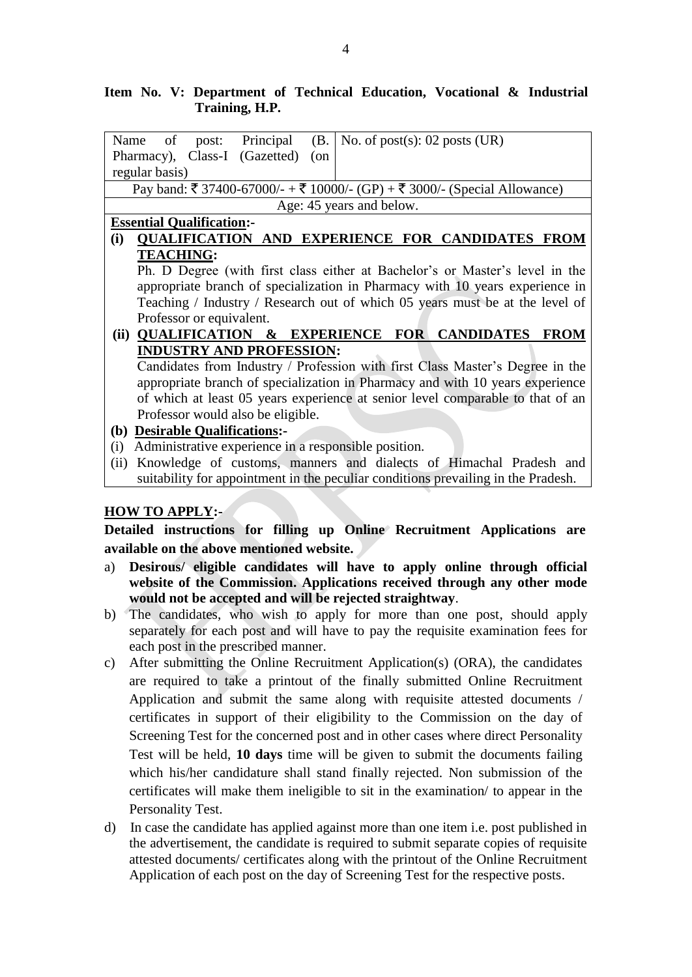# **Item No. V: Department of Technical Education, Vocational & Industrial Training, H.P.**

| post: Principal<br>of<br>Name                                                     |                                                                                | (B. | No. of post(s): $02$ posts (UR)                                              |  |  |  |
|-----------------------------------------------------------------------------------|--------------------------------------------------------------------------------|-----|------------------------------------------------------------------------------|--|--|--|
| Pharmacy), Class-I (Gazetted)                                                     | $($ on                                                                         |     |                                                                              |  |  |  |
| regular basis)                                                                    |                                                                                |     |                                                                              |  |  |  |
|                                                                                   | Pay band: ₹ 37400-67000/- + ₹ 10000/- (GP) + ₹ 3000/- (Special Allowance)      |     |                                                                              |  |  |  |
|                                                                                   | Age: 45 years and below.                                                       |     |                                                                              |  |  |  |
| <b>Essential Qualification:-</b>                                                  |                                                                                |     |                                                                              |  |  |  |
| (i)                                                                               |                                                                                |     | <b>QUALIFICATION AND EXPERIENCE FOR CANDIDATES FROM</b>                      |  |  |  |
| <b>TEACHING:</b>                                                                  |                                                                                |     |                                                                              |  |  |  |
| Ph. D Degree (with first class either at Bachelor's or Master's level in the      |                                                                                |     |                                                                              |  |  |  |
|                                                                                   | appropriate branch of specialization in Pharmacy with 10 years experience in   |     |                                                                              |  |  |  |
|                                                                                   |                                                                                |     | Teaching / Industry / Research out of which 05 years must be at the level of |  |  |  |
| Professor or equivalent.                                                          |                                                                                |     |                                                                              |  |  |  |
| (ii) QUALIFICATION & EXPERIENCE FOR CANDIDATES                                    |                                                                                |     | <b>FROM</b>                                                                  |  |  |  |
| <b>INDUSTRY AND PROFESSION:</b>                                                   |                                                                                |     |                                                                              |  |  |  |
|                                                                                   | Candidates from Industry / Profession with first Class Master's Degree in the  |     |                                                                              |  |  |  |
|                                                                                   | appropriate branch of specialization in Pharmacy and with 10 years experience  |     |                                                                              |  |  |  |
|                                                                                   | of which at least 05 years experience at senior level comparable to that of an |     |                                                                              |  |  |  |
| Professor would also be eligible.                                                 |                                                                                |     |                                                                              |  |  |  |
| <b>Desirable Qualifications:-</b><br><b>(b)</b>                                   |                                                                                |     |                                                                              |  |  |  |
| Administrative experience in a responsible position.<br>(i)                       |                                                                                |     |                                                                              |  |  |  |
| (ii)                                                                              |                                                                                |     | Knowledge of customs, manners and dialects of Himachal Pradesh and           |  |  |  |
| suitability for appointment in the peculiar conditions prevailing in the Pradesh. |                                                                                |     |                                                                              |  |  |  |

# **HOW TO APPLY:-**

**Detailed instructions for filling up Online Recruitment Applications are available on the above mentioned website.**

- a) **Desirous/ eligible candidates will have to apply online through official website of the Commission. Applications received through any other mode would not be accepted and will be rejected straightway**.
- b) The candidates, who wish to apply for more than one post, should apply separately for each post and will have to pay the requisite examination fees for each post in the prescribed manner.
- c) After submitting the Online Recruitment Application(s) (ORA), the candidates are required to take a printout of the finally submitted Online Recruitment Application and submit the same along with requisite attested documents / certificates in support of their eligibility to the Commission on the day of Screening Test for the concerned post and in other cases where direct Personality Test will be held, **10 days** time will be given to submit the documents failing which his/her candidature shall stand finally rejected. Non submission of the certificates will make them ineligible to sit in the examination/ to appear in the Personality Test.
- d) In case the candidate has applied against more than one item i.e. post published in the advertisement, the candidate is required to submit separate copies of requisite attested documents/ certificates along with the printout of the Online Recruitment Application of each post on the day of Screening Test for the respective posts.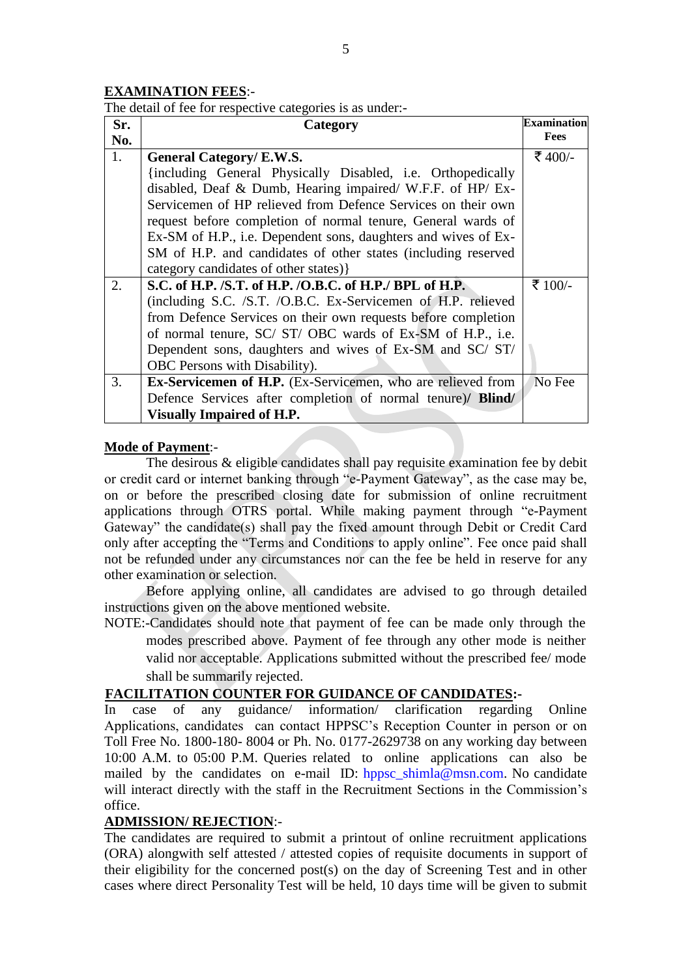#### **EXAMINATION FEES**:-

The detail of fee for respective categories is as under:-

| Sr. | Category                                                            | <b>Examination</b> |
|-----|---------------------------------------------------------------------|--------------------|
| No. |                                                                     | Fees               |
| 1.  | <b>General Category/ E.W.S.</b>                                     | ₹ 400/-            |
|     | {including General Physically Disabled, i.e. Orthopedically         |                    |
|     | disabled, Deaf & Dumb, Hearing impaired/ W.F.F. of HP/ Ex-          |                    |
|     | Servicemen of HP relieved from Defence Services on their own        |                    |
|     | request before completion of normal tenure, General wards of        |                    |
|     | Ex-SM of H.P., i.e. Dependent sons, daughters and wives of Ex-      |                    |
|     | SM of H.P. and candidates of other states (including reserved       |                    |
|     | category candidates of other states) }                              |                    |
| 2.  | S.C. of H.P. /S.T. of H.P. /O.B.C. of H.P./ BPL of H.P.             | ₹ 100/-            |
|     | (including S.C. /S.T. /O.B.C. Ex-Servicemen of H.P. relieved        |                    |
|     | from Defence Services on their own requests before completion       |                    |
|     | of normal tenure, SC/ ST/ OBC wards of Ex-SM of H.P., i.e.          |                    |
|     | Dependent sons, daughters and wives of Ex-SM and SC/ST/             |                    |
|     | OBC Persons with Disability).                                       |                    |
| 3.  | <b>Ex-Servicemen of H.P.</b> (Ex-Servicemen, who are relieved from  | No Fee             |
|     | Defence Services after completion of normal tenure)/ <b>Blind</b> / |                    |
|     | <b>Visually Impaired of H.P.</b>                                    |                    |

#### **Mode of Payment**:-

The desirous & eligible candidates shall pay requisite examination fee by debit or credit card or internet banking through "e-Payment Gateway", as the case may be, on or before the prescribed closing date for submission of online recruitment applications through OTRS portal. While making payment through "e-Payment Gateway" the candidate(s) shall pay the fixed amount through Debit or Credit Card only after accepting the "Terms and Conditions to apply online". Fee once paid shall not be refunded under any circumstances nor can the fee be held in reserve for any other examination or selection.

Before applying online, all candidates are advised to go through detailed instructions given on the above mentioned website.

NOTE:-Candidates should note that payment of fee can be made only through the modes prescribed above. Payment of fee through any other mode is neither valid nor acceptable. Applications submitted without the prescribed fee/ mode shall be summarily rejected.

#### **FACILITATION COUNTER FOR GUIDANCE OF CANDIDATES:-**

In case of any guidance/ information/ clarification regarding Online Applications, candidates can contact HPPSC's Reception Counter in person or on Toll Free No. 1800-180- 8004 or Ph. No. 0177-2629738 on any working day between 10:00 A.M. to 05:00 P.M. Queries related to online applications can also be mailed by the candidates on e-mail ID: [hppsc\\_shimla@msn.com.](mailto:hppsc_shimla@msn.com) No candidate will interact directly with the staff in the Recruitment Sections in the Commission's office.

### **ADMISSION/ REJECTION**:-

The candidates are required to submit a printout of online recruitment applications (ORA) alongwith self attested / attested copies of requisite documents in support of their eligibility for the concerned post(s) on the day of Screening Test and in other cases where direct Personality Test will be held, 10 days time will be given to submit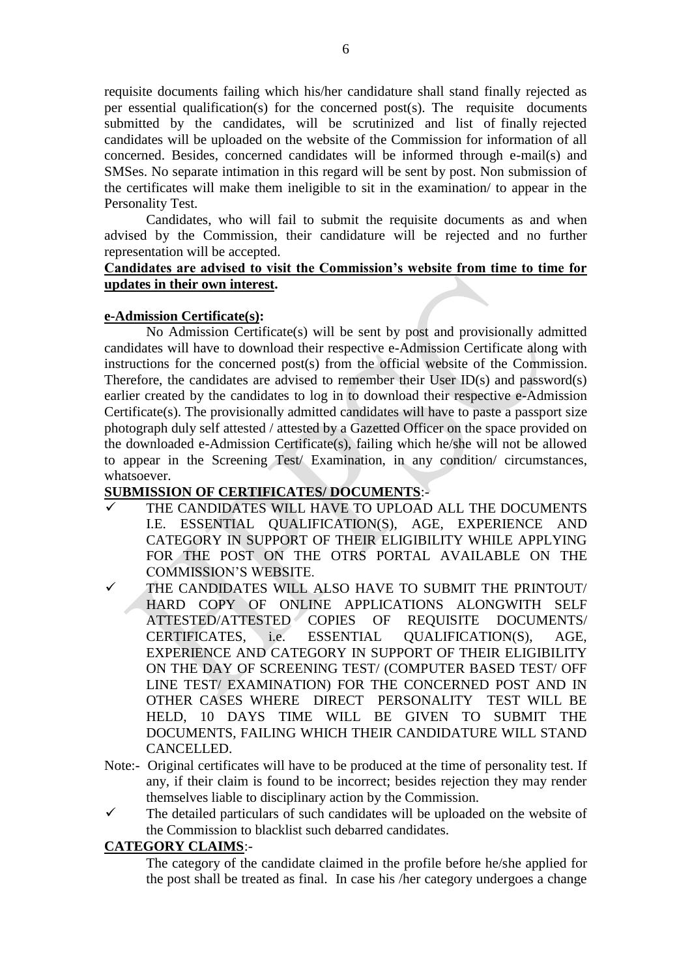requisite documents failing which his/her candidature shall stand finally rejected as per essential qualification(s) for the concerned post(s). The requisite documents submitted by the candidates, will be scrutinized and list of finally rejected candidates will be uploaded on the website of the Commission for information of all concerned. Besides, concerned candidates will be informed through e-mail(s) and SMSes. No separate intimation in this regard will be sent by post. Non submission of the certificates will make them ineligible to sit in the examination/ to appear in the Personality Test.

 Candidates, who will fail to submit the requisite documents as and when advised by the Commission, their candidature will be rejected and no further representation will be accepted.

### **Candidates are advised to visit the Commission's website from time to time for updates in their own interest.**

#### **e-Admission Certificate(s):**

No Admission Certificate(s) will be sent by post and provisionally admitted candidates will have to download their respective e-Admission Certificate along with instructions for the concerned post(s) from the official website of the Commission. Therefore, the candidates are advised to remember their User ID(s) and password(s) earlier created by the candidates to log in to download their respective e-Admission Certificate(s). The provisionally admitted candidates will have to paste a passport size photograph duly self attested / attested by a Gazetted Officer on the space provided on the downloaded e-Admission Certificate(s), failing which he/she will not be allowed to appear in the Screening Test/ Examination, in any condition/ circumstances, whatsoever.

# **SUBMISSION OF CERTIFICATES/ DOCUMENTS**:-

- THE CANDIDATES WILL HAVE TO UPLOAD ALL THE DOCUMENTS I.E. ESSENTIAL QUALIFICATION(S), AGE, EXPERIENCE AND CATEGORY IN SUPPORT OF THEIR ELIGIBILITY WHILE APPLYING FOR THE POST ON THE OTRS PORTAL AVAILABLE ON THE COMMISSION'S WEBSITE.
- $\checkmark$  THE CANDIDATES WILL ALSO HAVE TO SUBMIT THE PRINTOUT/ HARD COPY OF ONLINE APPLICATIONS ALONGWITH SELF ATTESTED/ATTESTED COPIES OF REQUISITE DOCUMENTS/ CERTIFICATES, i.e. ESSENTIAL QUALIFICATION(S), AGE, EXPERIENCE AND CATEGORY IN SUPPORT OF THEIR ELIGIBILITY ON THE DAY OF SCREENING TEST/ (COMPUTER BASED TEST/ OFF LINE TEST/ EXAMINATION) FOR THE CONCERNED POST AND IN OTHER CASES WHERE DIRECT PERSONALITY TEST WILL BE HELD, 10 DAYS TIME WILL BE GIVEN TO SUBMIT THE DOCUMENTS, FAILING WHICH THEIR CANDIDATURE WILL STAND CANCELLED.
- Note:- Original certificates will have to be produced at the time of personality test. If any, if their claim is found to be incorrect; besides rejection they may render themselves liable to disciplinary action by the Commission.
- $\checkmark$  The detailed particulars of such candidates will be uploaded on the website of the Commission to blacklist such debarred candidates.

#### **CATEGORY CLAIMS**:-

The category of the candidate claimed in the profile before he/she applied for the post shall be treated as final. In case his /her category undergoes a change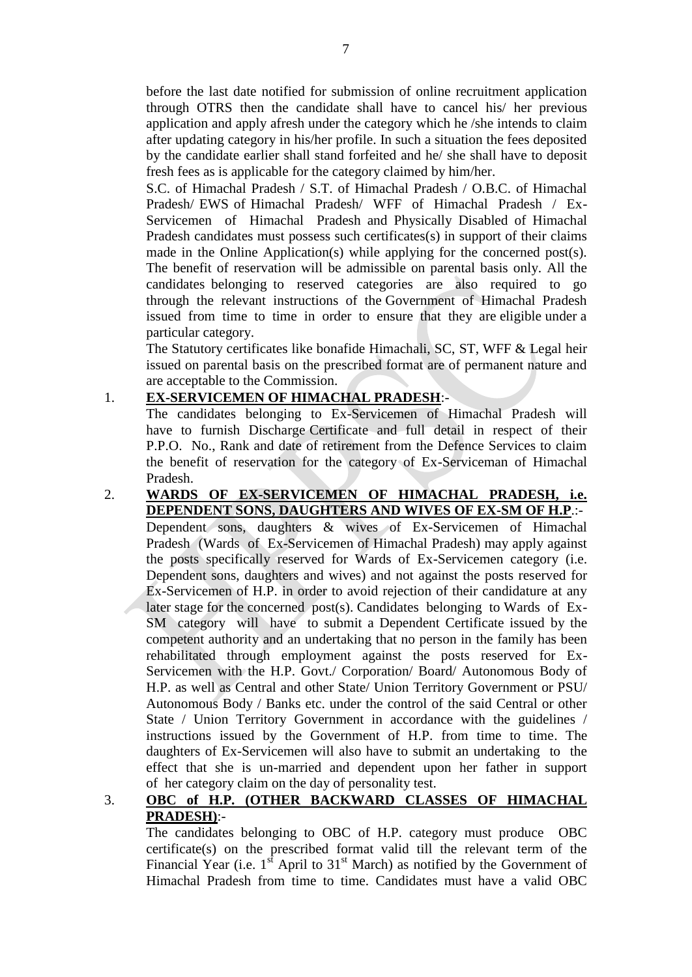before the last date notified for submission of online recruitment application through OTRS then the candidate shall have to cancel his/ her previous application and apply afresh under the category which he /she intends to claim after updating category in his/her profile. In such a situation the fees deposited by the candidate earlier shall stand forfeited and he/ she shall have to deposit fresh fees as is applicable for the category claimed by him/her.

S.C. of Himachal Pradesh / S.T. of Himachal Pradesh / O.B.C. of Himachal Pradesh/ EWS of Himachal Pradesh/ WFF of Himachal Pradesh / Ex-Servicemen of Himachal Pradesh and Physically Disabled of Himachal Pradesh candidates must possess such certificates(s) in support of their claims made in the Online Application(s) while applying for the concerned post(s). The benefit of reservation will be admissible on parental basis only. All the candidates belonging to reserved categories are also required to go through the relevant instructions of the Government of Himachal Pradesh issued from time to time in order to ensure that they are eligible under a particular category.

The Statutory certificates like bonafide Himachali, SC, ST, WFF & Legal heir issued on parental basis on the prescribed format are of permanent nature and are acceptable to the Commission.

# 1. **EX-SERVICEMEN OF HIMACHAL PRADESH**:-

The candidates belonging to Ex-Servicemen of Himachal Pradesh will have to furnish Discharge Certificate and full detail in respect of their P.P.O. No., Rank and date of retirement from the Defence Services to claim the benefit of reservation for the category of Ex-Serviceman of Himachal Pradesh.

2. **WARDS OF EX-SERVICEMEN OF HIMACHAL PRADESH, i.e. DEPENDENT SONS, DAUGHTERS AND WIVES OF EX-SM OF H.P**.:- Dependent sons, daughters & wives of Ex-Servicemen of Himachal Pradesh (Wards of Ex-Servicemen of Himachal Pradesh) may apply against the posts specifically reserved for Wards of Ex-Servicemen category (i.e. Dependent sons, daughters and wives) and not against the posts reserved for Ex-Servicemen of H.P. in order to avoid rejection of their candidature at any later stage for the concerned post(s). Candidates belonging to Wards of Ex-SM category will have to submit a Dependent Certificate issued by the competent authority and an undertaking that no person in the family has been rehabilitated through employment against the posts reserved for Ex-Servicemen with the H.P. Govt./ Corporation/ Board/ Autonomous Body of H.P. as well as Central and other State/ Union Territory Government or PSU/ Autonomous Body / Banks etc. under the control of the said Central or other State / Union Territory Government in accordance with the guidelines / instructions issued by the Government of H.P. from time to time. The daughters of Ex-Servicemen will also have to submit an undertaking to the effect that she is un-married and dependent upon her father in support of her category claim on the day of personality test.

# 3. **OBC of H.P. (OTHER BACKWARD CLASSES OF HIMACHAL PRADESH)**:-

The candidates belonging to OBC of H.P. category must produce OBC certificate(s) on the prescribed format valid till the relevant term of the Financial Year (i.e.  $1<sup>st</sup>$  April to  $31<sup>st</sup>$  March) as notified by the Government of Himachal Pradesh from time to time. Candidates must have a valid OBC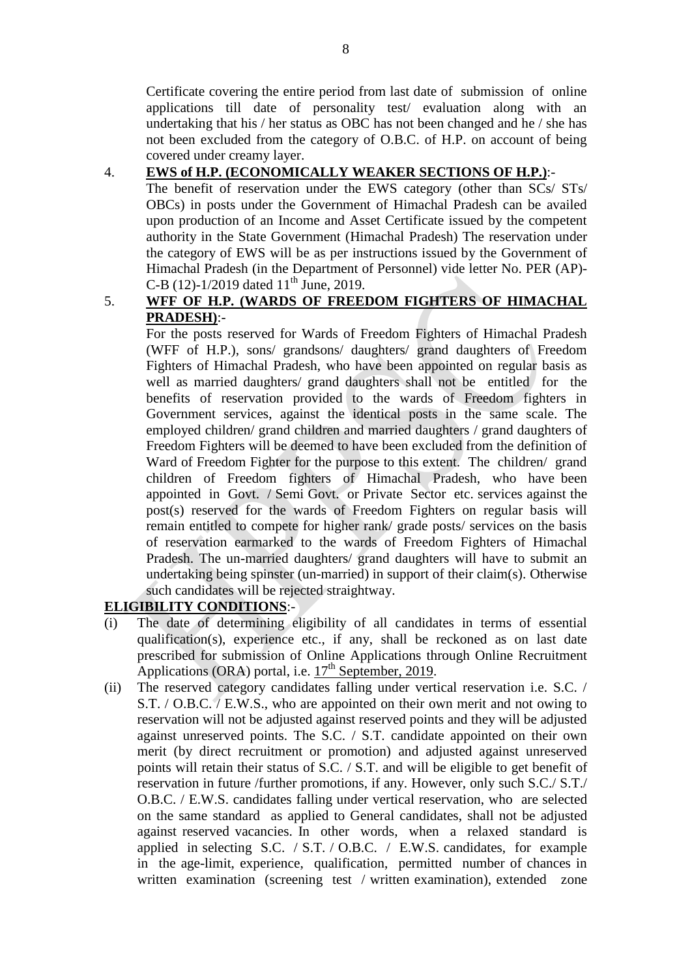Certificate covering the entire period from last date of submission of online applications till date of personality test/ evaluation along with an undertaking that his / her status as OBC has not been changed and he / she has not been excluded from the category of O.B.C. of H.P. on account of being covered under creamy layer.

# 4. **EWS of H.P. (ECONOMICALLY WEAKER SECTIONS OF H.P.)**:-

The benefit of reservation under the EWS category (other than SCs/ STs/ OBCs) in posts under the Government of Himachal Pradesh can be availed upon production of an Income and Asset Certificate issued by the competent authority in the State Government (Himachal Pradesh) The reservation under the category of EWS will be as per instructions issued by the Government of Himachal Pradesh (in the Department of Personnel) vide letter No. PER (AP)- C-B (12)-1/2019 dated  $11^{th}$  June, 2019.

# 5. **WFF OF H.P. (WARDS OF FREEDOM FIGHTERS OF HIMACHAL PRADESH)**:-

For the posts reserved for Wards of Freedom Fighters of Himachal Pradesh (WFF of H.P.), sons/ grandsons/ daughters/ grand daughters of Freedom Fighters of Himachal Pradesh, who have been appointed on regular basis as well as married daughters/ grand daughters shall not be entitled for the benefits of reservation provided to the wards of Freedom fighters in Government services, against the identical posts in the same scale. The employed children/ grand children and married daughters / grand daughters of Freedom Fighters will be deemed to have been excluded from the definition of Ward of Freedom Fighter for the purpose to this extent. The children/ grand children of Freedom fighters of Himachal Pradesh, who have been appointed in Govt. / Semi Govt. or Private Sector etc. services against the post(s) reserved for the wards of Freedom Fighters on regular basis will remain entitled to compete for higher rank/ grade posts/ services on the basis of reservation earmarked to the wards of Freedom Fighters of Himachal Pradesh. The un-married daughters/ grand daughters will have to submit an undertaking being spinster (un-married) in support of their claim(s). Otherwise such candidates will be rejected straightway.

# **ELIGIBILITY CONDITIONS**:-

- (i) The date of determining eligibility of all candidates in terms of essential qualification(s), experience etc., if any, shall be reckoned as on last date prescribed for submission of Online Applications through Online Recruitment Applications (ORA) portal, i.e.  $17<sup>th</sup>$  September, 2019.
- (ii) The reserved category candidates falling under vertical reservation i.e. S.C. / S.T. / O.B.C. / E.W.S., who are appointed on their own merit and not owing to reservation will not be adjusted against reserved points and they will be adjusted against unreserved points. The S.C. / S.T. candidate appointed on their own merit (by direct recruitment or promotion) and adjusted against unreserved points will retain their status of S.C. / S.T. and will be eligible to get benefit of reservation in future /further promotions, if any. However, only such S.C./ S.T./ O.B.C. / E.W.S. candidates falling under vertical reservation, who are selected on the same standard as applied to General candidates, shall not be adjusted against reserved vacancies. In other words, when a relaxed standard is applied in selecting S.C. / S.T. / O.B.C. / E.W.S. candidates, for example in the age-limit, experience, qualification, permitted number of chances in written examination (screening test / written examination), extended zone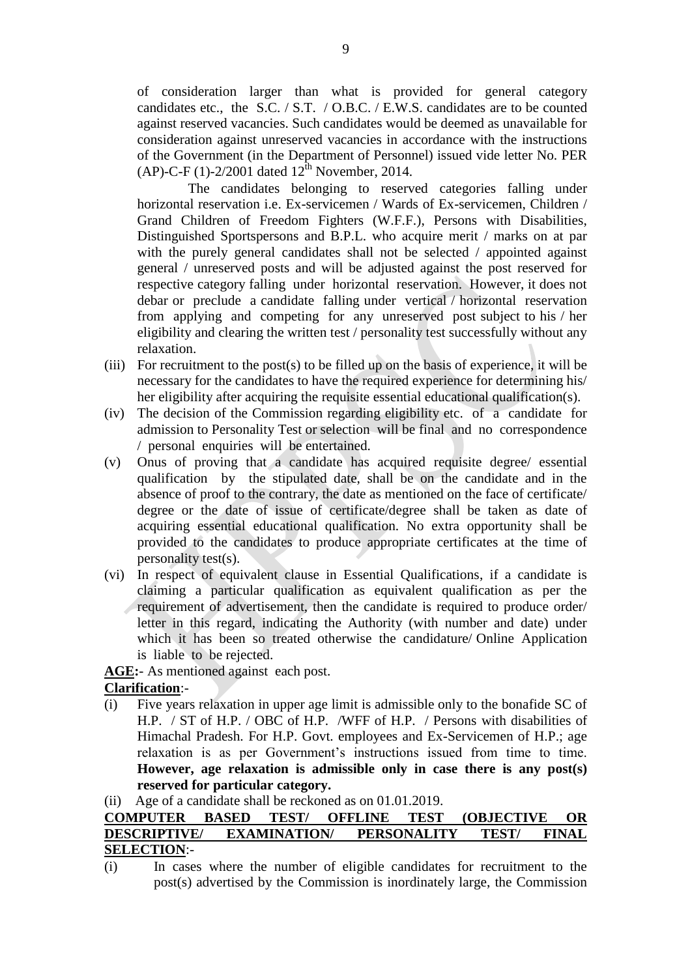of consideration larger than what is provided for general category candidates etc., the S.C. / S.T. / O.B.C. / E.W.S. candidates are to be counted against reserved vacancies. Such candidates would be deemed as unavailable for consideration against unreserved vacancies in accordance with the instructions of the Government (in the Department of Personnel) issued vide letter No. PER  $(AP)$ -C-F  $(1)$ -2/2001 dated  $12<sup>th</sup>$  November, 2014.

The candidates belonging to reserved categories falling under horizontal reservation i.e. Ex-servicemen / Wards of Ex-servicemen, Children / Grand Children of Freedom Fighters (W.F.F.), Persons with Disabilities, Distinguished Sportspersons and B.P.L. who acquire merit / marks on at par with the purely general candidates shall not be selected / appointed against general / unreserved posts and will be adjusted against the post reserved for respective category falling under horizontal reservation. However, it does not debar or preclude a candidate falling under vertical / horizontal reservation from applying and competing for any unreserved post subject to his / her eligibility and clearing the written test / personality test successfully without any relaxation.

- (iii) For recruitment to the post(s) to be filled up on the basis of experience, it will be necessary for the candidates to have the required experience for determining his/ her eligibility after acquiring the requisite essential educational qualification(s).
- (iv) The decision of the Commission regarding eligibility etc. of a candidate for admission to Personality Test or selection will be final and no correspondence / personal enquiries will be entertained.
- (v) Onus of proving that a candidate has acquired requisite degree/ essential qualification by the stipulated date, shall be on the candidate and in the absence of proof to the contrary, the date as mentioned on the face of certificate/ degree or the date of issue of certificate/degree shall be taken as date of acquiring essential educational qualification. No extra opportunity shall be provided to the candidates to produce appropriate certificates at the time of personality test(s).
- (vi) In respect of equivalent clause in Essential Qualifications, if a candidate is claiming a particular qualification as equivalent qualification as per the requirement of advertisement, then the candidate is required to produce order/ letter in this regard, indicating the Authority (with number and date) under which it has been so treated otherwise the candidature/ Online Application is liable to be rejected.

**AGE:**- As mentioned against each post.

# **Clarification**:-

(i) Five years relaxation in upper age limit is admissible only to the bonafide SC of H.P. / ST of H.P. / OBC of H.P. /WFF of H.P. / Persons with disabilities of Himachal Pradesh. For H.P. Govt. employees and Ex-Servicemen of H.P.; age relaxation is as per Government's instructions issued from time to time. **However, age relaxation is admissible only in case there is any post(s) reserved for particular category.**

(ii) Age of a candidate shall be reckoned as on 01.01.2019.

## **COMPUTER BASED TEST/ OFFLINE TEST (OBJECTIVE OR DESCRIPTIVE/ EXAMINATION/ PERSONALITY TEST/ FINAL SELECTION**:-

(i) In cases where the number of eligible candidates for recruitment to the post(s) advertised by the Commission is inordinately large, the Commission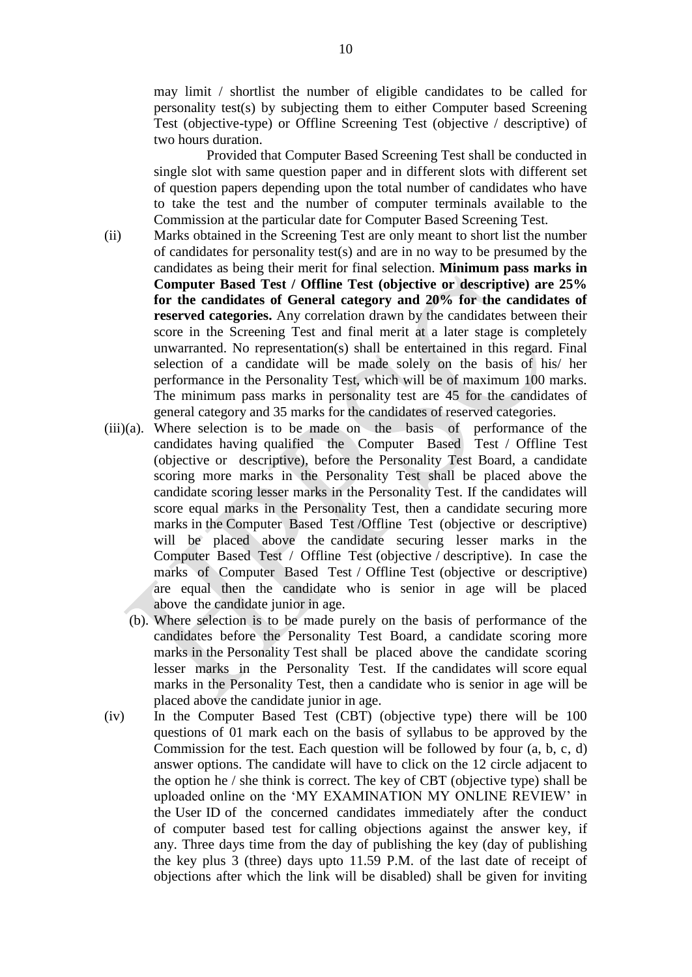may limit / shortlist the number of eligible candidates to be called for personality test(s) by subjecting them to either Computer based Screening Test (objective-type) or Offline Screening Test (objective / descriptive) of two hours duration.

Provided that Computer Based Screening Test shall be conducted in single slot with same question paper and in different slots with different set of question papers depending upon the total number of candidates who have to take the test and the number of computer terminals available to the Commission at the particular date for Computer Based Screening Test.

- (ii) Marks obtained in the Screening Test are only meant to short list the number of candidates for personality test(s) and are in no way to be presumed by the candidates as being their merit for final selection. **Minimum pass marks in Computer Based Test / Offline Test (objective or descriptive) are 25% for the candidates of General category and 20% for the candidates of reserved categories.** Any correlation drawn by the candidates between their score in the Screening Test and final merit at a later stage is completely unwarranted. No representation(s) shall be entertained in this regard. Final selection of a candidate will be made solely on the basis of his/ her performance in the Personality Test, which will be of maximum 100 marks. The minimum pass marks in personality test are 45 for the candidates of general category and 35 marks for the candidates of reserved categories.
- (iii)(a). Where selection is to be made on the basis of performance of the candidates having qualified the Computer Based Test / Offline Test (objective or descriptive), before the Personality Test Board, a candidate scoring more marks in the Personality Test shall be placed above the candidate scoring lesser marks in the Personality Test. If the candidates will score equal marks in the Personality Test, then a candidate securing more marks in the Computer Based Test /Offline Test (objective or descriptive) will be placed above the candidate securing lesser marks in the Computer Based Test / Offline Test (objective / descriptive). In case the marks of Computer Based Test / Offline Test (objective or descriptive) are equal then the candidate who is senior in age will be placed above the candidate junior in age.
	- (b). Where selection is to be made purely on the basis of performance of the candidates before the Personality Test Board, a candidate scoring more marks in the Personality Test shall be placed above the candidate scoring lesser marks in the Personality Test. If the candidates will score equal marks in the Personality Test, then a candidate who is senior in age will be placed above the candidate junior in age.
- (iv) In the Computer Based Test (CBT) (objective type) there will be 100 questions of 01 mark each on the basis of syllabus to be approved by the Commission for the test. Each question will be followed by four (a, b, c, d) answer options. The candidate will have to click on the 12 circle adjacent to the option he / she think is correct. The key of CBT (objective type) shall be uploaded online on the 'MY EXAMINATION MY ONLINE REVIEW' in the User ID of the concerned candidates immediately after the conduct of computer based test for calling objections against the answer key, if any. Three days time from the day of publishing the key (day of publishing the key plus 3 (three) days upto 11.59 P.M. of the last date of receipt of objections after which the link will be disabled) shall be given for inviting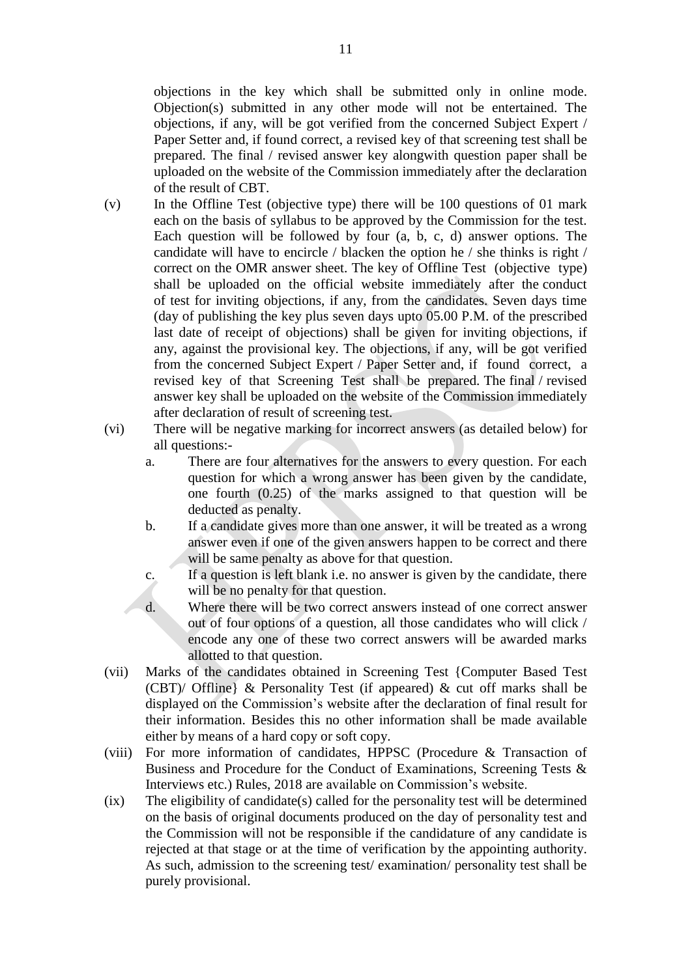objections in the key which shall be submitted only in online mode. Objection(s) submitted in any other mode will not be entertained. The objections, if any, will be got verified from the concerned Subject Expert / Paper Setter and, if found correct, a revised key of that screening test shall be prepared. The final / revised answer key alongwith question paper shall be uploaded on the website of the Commission immediately after the declaration of the result of CBT.

- (v) In the Offline Test (objective type) there will be 100 questions of 01 mark each on the basis of syllabus to be approved by the Commission for the test. Each question will be followed by four (a, b, c, d) answer options. The candidate will have to encircle / blacken the option he / she thinks is right / correct on the OMR answer sheet. The key of Offline Test (objective type) shall be uploaded on the official website immediately after the conduct of test for inviting objections, if any, from the candidates. Seven days time (day of publishing the key plus seven days upto 05.00 P.M. of the prescribed last date of receipt of objections) shall be given for inviting objections, if any, against the provisional key. The objections, if any, will be got verified from the concerned Subject Expert / Paper Setter and, if found correct, a revised key of that Screening Test shall be prepared. The final / revised answer key shall be uploaded on the website of the Commission immediately after declaration of result of screening test.
- (vi) There will be negative marking for incorrect answers (as detailed below) for all questions:
	- a. There are four alternatives for the answers to every question. For each question for which a wrong answer has been given by the candidate, one fourth (0.25) of the marks assigned to that question will be deducted as penalty.
	- b. If a candidate gives more than one answer, it will be treated as a wrong answer even if one of the given answers happen to be correct and there will be same penalty as above for that question.
	- c. If a question is left blank i.e. no answer is given by the candidate, there will be no penalty for that question.
	- d. Where there will be two correct answers instead of one correct answer out of four options of a question, all those candidates who will click / encode any one of these two correct answers will be awarded marks allotted to that question.
- (vii) Marks of the candidates obtained in Screening Test {Computer Based Test (CBT)/ Offline} & Personality Test (if appeared) & cut off marks shall be displayed on the Commission's website after the declaration of final result for their information. Besides this no other information shall be made available either by means of a hard copy or soft copy.
- (viii) For more information of candidates, HPPSC (Procedure & Transaction of Business and Procedure for the Conduct of Examinations, Screening Tests & Interviews etc.) Rules, 2018 are available on Commission's website.
- (ix) The eligibility of candidate(s) called for the personality test will be determined on the basis of original documents produced on the day of personality test and the Commission will not be responsible if the candidature of any candidate is rejected at that stage or at the time of verification by the appointing authority. As such, admission to the screening test/ examination/ personality test shall be purely provisional.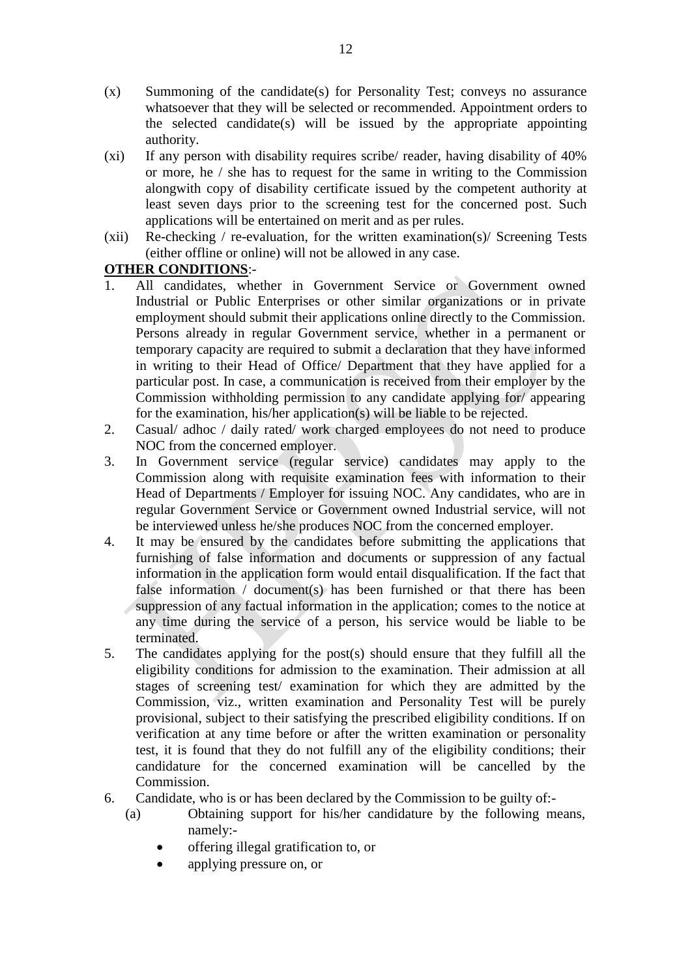- (x) Summoning of the candidate(s) for Personality Test; conveys no assurance whatsoever that they will be selected or recommended. Appointment orders to the selected candidate(s) will be issued by the appropriate appointing authority.
- (xi) If any person with disability requires scribe/ reader, having disability of 40% or more, he / she has to request for the same in writing to the Commission alongwith copy of disability certificate issued by the competent authority at least seven days prior to the screening test for the concerned post. Such applications will be entertained on merit and as per rules.
- $(xii)$  Re-checking / re-evaluation, for the written examination(s) Screening Tests (either offline or online) will not be allowed in any case.

# **OTHER CONDITIONS**:-

- 1. All candidates, whether in Government Service or Government owned Industrial or Public Enterprises or other similar organizations or in private employment should submit their applications online directly to the Commission. Persons already in regular Government service, whether in a permanent or temporary capacity are required to submit a declaration that they have informed in writing to their Head of Office/ Department that they have applied for a particular post. In case, a communication is received from their employer by the Commission withholding permission to any candidate applying for/ appearing for the examination, his/her application(s) will be liable to be rejected.
- 2. Casual/ adhoc / daily rated/ work charged employees do not need to produce NOC from the concerned employer.
- 3. In Government service (regular service) candidates may apply to the Commission along with requisite examination fees with information to their Head of Departments / Employer for issuing NOC. Any candidates, who are in regular Government Service or Government owned Industrial service, will not be interviewed unless he/she produces NOC from the concerned employer.
- 4. It may be ensured by the candidates before submitting the applications that furnishing of false information and documents or suppression of any factual information in the application form would entail disqualification. If the fact that false information / document(s) has been furnished or that there has been suppression of any factual information in the application; comes to the notice at any time during the service of a person, his service would be liable to be terminated.
- 5. The candidates applying for the post(s) should ensure that they fulfill all the eligibility conditions for admission to the examination. Their admission at all stages of screening test/ examination for which they are admitted by the Commission, viz., written examination and Personality Test will be purely provisional, subject to their satisfying the prescribed eligibility conditions. If on verification at any time before or after the written examination or personality test, it is found that they do not fulfill any of the eligibility conditions; their candidature for the concerned examination will be cancelled by the Commission.
- 6. Candidate, who is or has been declared by the Commission to be guilty of:-
	- (a) Obtaining support for his/her candidature by the following means, namely:
		- offering illegal gratification to, or
		- applying pressure on, or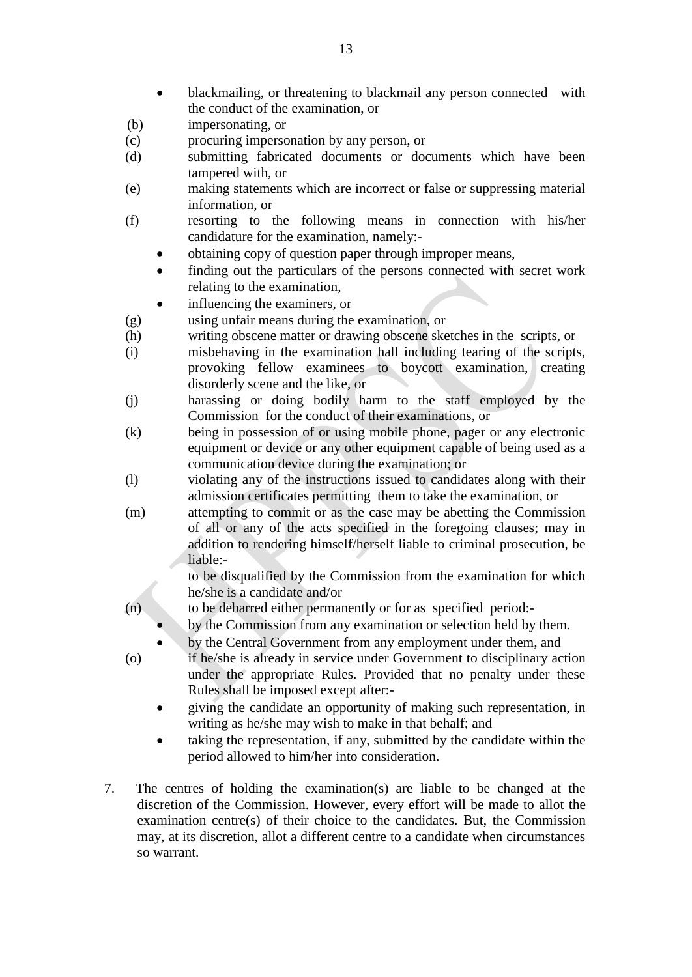- blackmailing, or threatening to blackmail any person connected with the conduct of the examination, or
- (b) impersonating, or
- (c) procuring impersonation by any person, or
- (d) submitting fabricated documents or documents which have been tampered with, or
- (e) making statements which are incorrect or false or suppressing material information, or
- (f) resorting to the following means in connection with his/her candidature for the examination, namely:
	- obtaining copy of question paper through improper means,
	- finding out the particulars of the persons connected with secret work relating to the examination,

influencing the examiners, or

- (g) using unfair means during the examination, or
- (h) writing obscene matter or drawing obscene sketches in the scripts, or
- (i) misbehaving in the examination hall including tearing of the scripts, provoking fellow examinees to boycott examination, creating disorderly scene and the like, or
- (j) harassing or doing bodily harm to the staff employed by the Commission for the conduct of their examinations, or
- (k) being in possession of or using mobile phone, pager or any electronic equipment or device or any other equipment capable of being used as a communication device during the examination; or
- (l) violating any of the instructions issued to candidates along with their admission certificates permitting them to take the examination, or
- (m) attempting to commit or as the case may be abetting the Commission of all or any of the acts specified in the foregoing clauses; may in addition to rendering himself/herself liable to criminal prosecution, be liable:-

to be disqualified by the Commission from the examination for which he/she is a candidate and/or

- (n) to be debarred either permanently or for as specified period:
	- by the Commission from any examination or selection held by them.
	- by the Central Government from any employment under them, and
- (o) if he/she is already in service under Government to disciplinary action under the appropriate Rules. Provided that no penalty under these Rules shall be imposed except after:
	- giving the candidate an opportunity of making such representation, in writing as he/she may wish to make in that behalf; and
	- taking the representation, if any, submitted by the candidate within the period allowed to him/her into consideration.
- 7. The centres of holding the examination(s) are liable to be changed at the discretion of the Commission. However, every effort will be made to allot the examination centre(s) of their choice to the candidates. But, the Commission may, at its discretion, allot a different centre to a candidate when circumstances so warrant.